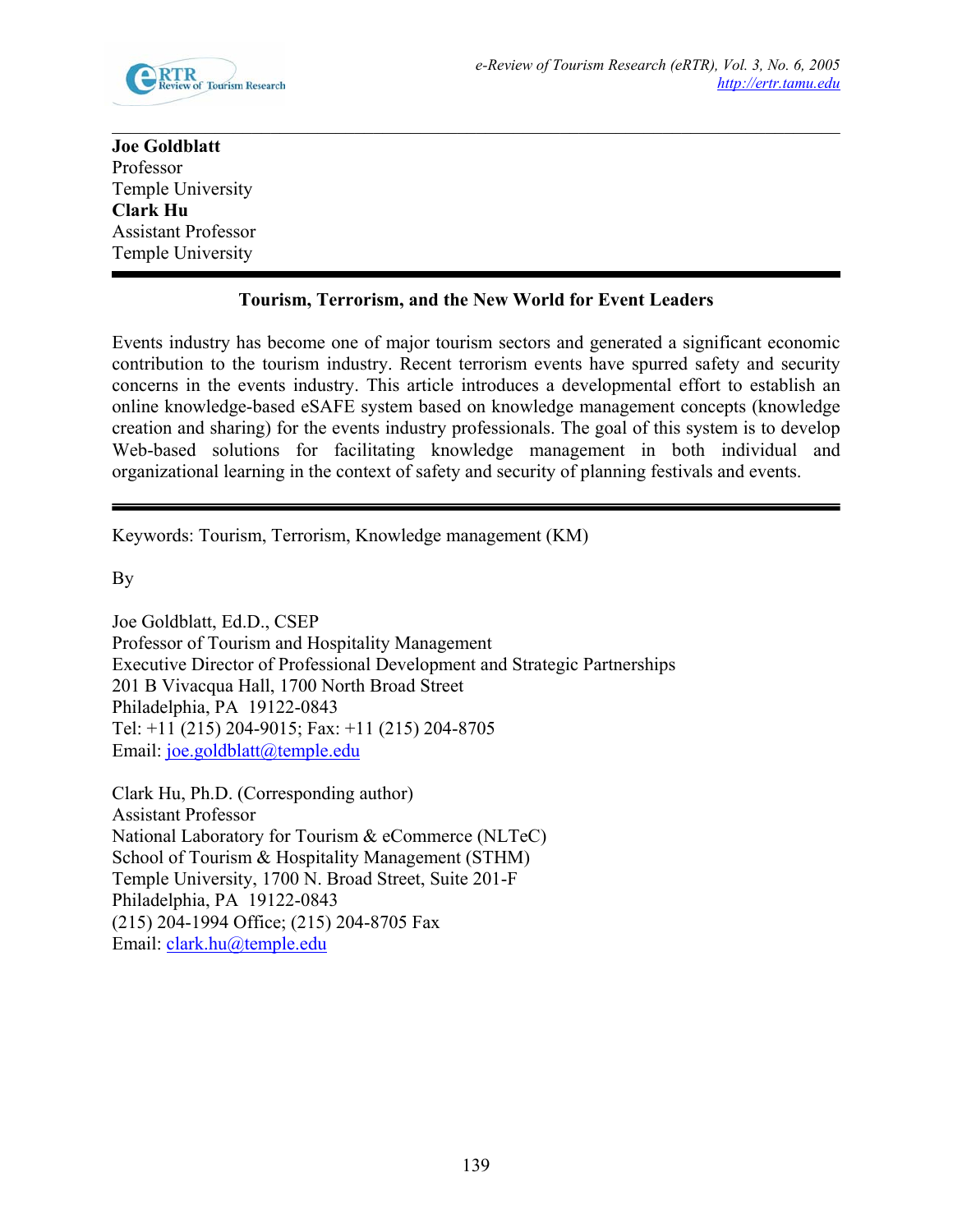

## **Joe Goldblatt**  Professor Temple University **Clark Hu**  Assistant Professor Temple University

 $\mathcal{L}_\mathcal{L} = \{ \mathcal{L}_\mathcal{L} = \{ \mathcal{L}_\mathcal{L} = \{ \mathcal{L}_\mathcal{L} = \{ \mathcal{L}_\mathcal{L} = \{ \mathcal{L}_\mathcal{L} = \{ \mathcal{L}_\mathcal{L} = \{ \mathcal{L}_\mathcal{L} = \{ \mathcal{L}_\mathcal{L} = \{ \mathcal{L}_\mathcal{L} = \{ \mathcal{L}_\mathcal{L} = \{ \mathcal{L}_\mathcal{L} = \{ \mathcal{L}_\mathcal{L} = \{ \mathcal{L}_\mathcal{L} = \{ \mathcal{L}_\mathcal{$ 

## **Tourism, Terrorism, and the New World for Event Leaders**

Events industry has become one of major tourism sectors and generated a significant economic contribution to the tourism industry. Recent terrorism events have spurred safety and security concerns in the events industry. This article introduces a developmental effort to establish an online knowledge-based eSAFE system based on knowledge management concepts (knowledge creation and sharing) for the events industry professionals. The goal of this system is to develop Web-based solutions for facilitating knowledge management in both individual and organizational learning in the context of safety and security of planning festivals and events.

Keywords: Tourism, Terrorism, Knowledge management (KM)

By

Joe Goldblatt, Ed.D., CSEP Professor of Tourism and Hospitality Management Executive Director of Professional Development and Strategic Partnerships 201 B Vivacqua Hall, 1700 North Broad Street Philadelphia, PA 19122-0843 Tel: +11 (215) 204-9015; Fax: +11 (215) 204-8705 Email: joe.goldblatt@temple.edu

Clark Hu, Ph.D. (Corresponding author) Assistant Professor National Laboratory for Tourism & eCommerce (NLTeC) School of Tourism & Hospitality Management (STHM) Temple University, 1700 N. Broad Street, Suite 201-F Philadelphia, PA 19122-0843 (215) 204-1994 Office; (215) 204-8705 Fax Email: clark.hu@temple.edu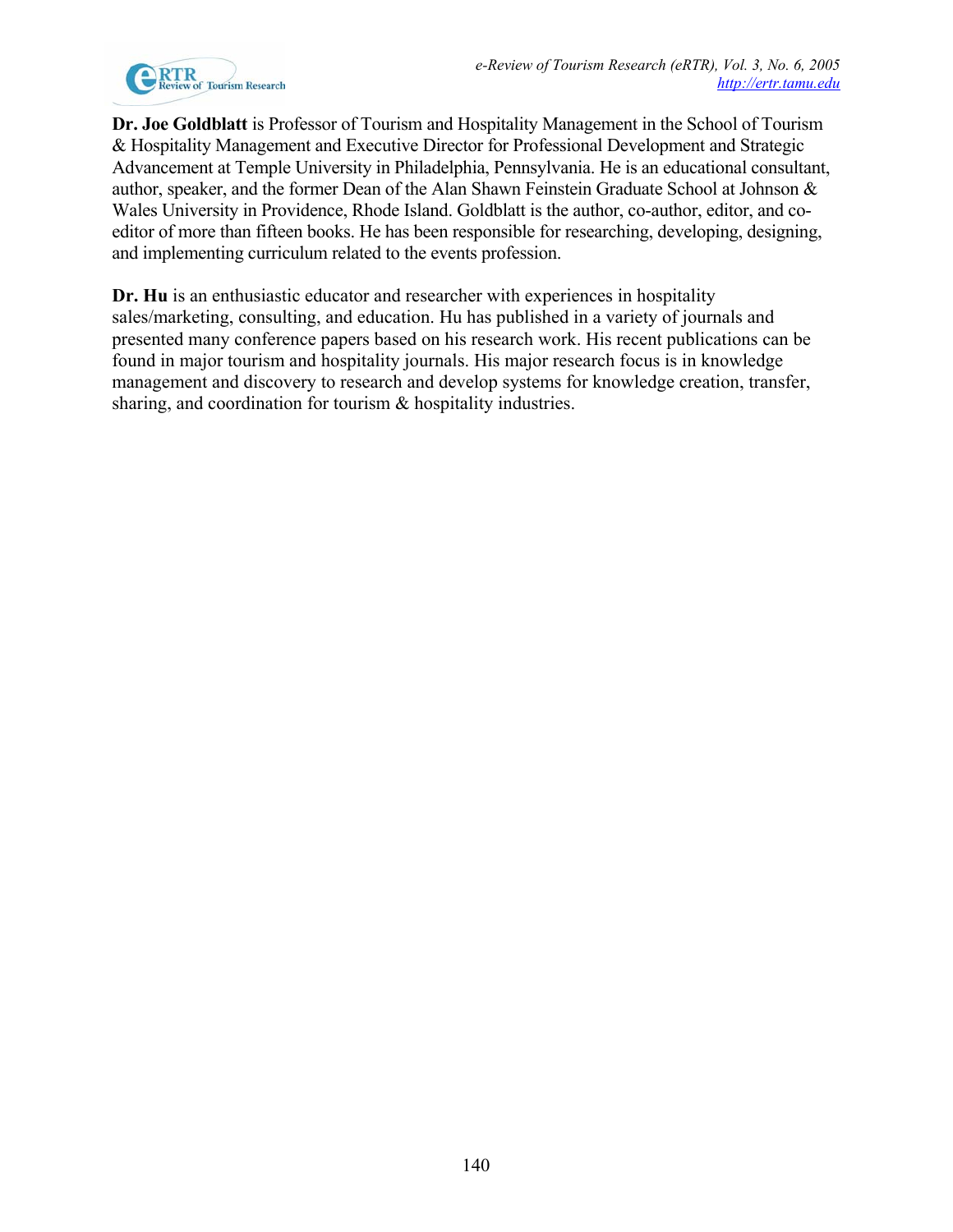

**Dr. Joe Goldblatt** is Professor of Tourism and Hospitality Management in the School of Tourism & Hospitality Management and Executive Director for Professional Development and Strategic Advancement at Temple University in Philadelphia, Pennsylvania. He is an educational consultant, author, speaker, and the former Dean of the Alan Shawn Feinstein Graduate School at Johnson & Wales University in Providence, Rhode Island. Goldblatt is the author, co-author, editor, and coeditor of more than fifteen books. He has been responsible for researching, developing, designing, and implementing curriculum related to the events profession.

**Dr. Hu** is an enthusiastic educator and researcher with experiences in hospitality sales/marketing, consulting, and education. Hu has published in a variety of journals and presented many conference papers based on his research work. His recent publications can be found in major tourism and hospitality journals. His major research focus is in knowledge management and discovery to research and develop systems for knowledge creation, transfer, sharing, and coordination for tourism  $\&$  hospitality industries.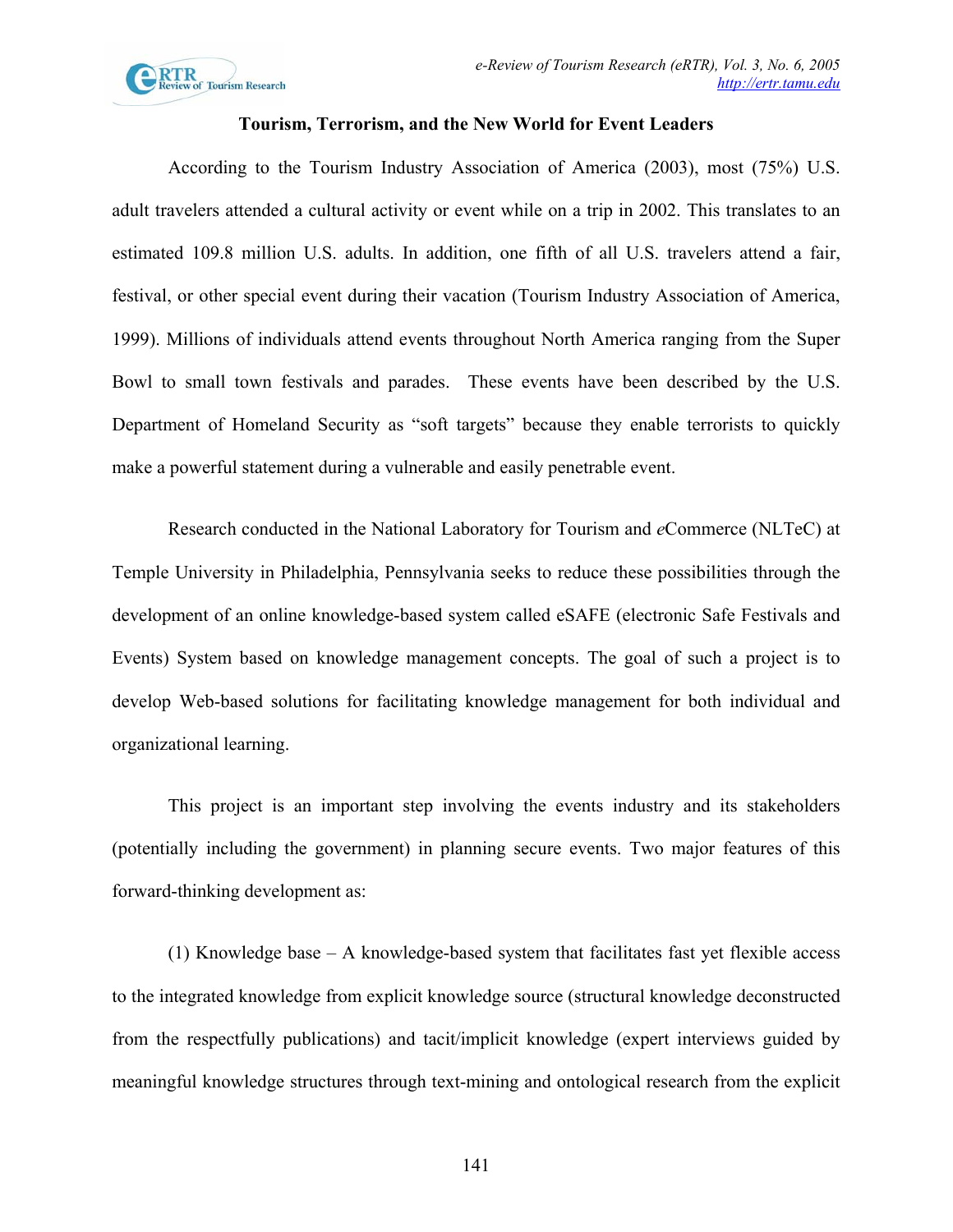

## **Tourism, Terrorism, and the New World for Event Leaders**

According to the Tourism Industry Association of America (2003), most (75%) U.S. adult travelers attended a cultural activity or event while on a trip in 2002. This translates to an estimated 109.8 million U.S. adults. In addition, one fifth of all U.S. travelers attend a fair, festival, or other special event during their vacation (Tourism Industry Association of America, 1999). Millions of individuals attend events throughout North America ranging from the Super Bowl to small town festivals and parades. These events have been described by the U.S. Department of Homeland Security as "soft targets" because they enable terrorists to quickly make a powerful statement during a vulnerable and easily penetrable event.

Research conducted in the National Laboratory for Tourism and *e*Commerce (NLTeC) at Temple University in Philadelphia, Pennsylvania seeks to reduce these possibilities through the development of an online knowledge-based system called eSAFE (electronic Safe Festivals and Events) System based on knowledge management concepts. The goal of such a project is to develop Web-based solutions for facilitating knowledge management for both individual and organizational learning.

This project is an important step involving the events industry and its stakeholders (potentially including the government) in planning secure events. Two major features of this forward-thinking development as:

(1) Knowledge base – A knowledge-based system that facilitates fast yet flexible access to the integrated knowledge from explicit knowledge source (structural knowledge deconstructed from the respectfully publications) and tacit/implicit knowledge (expert interviews guided by meaningful knowledge structures through text-mining and ontological research from the explicit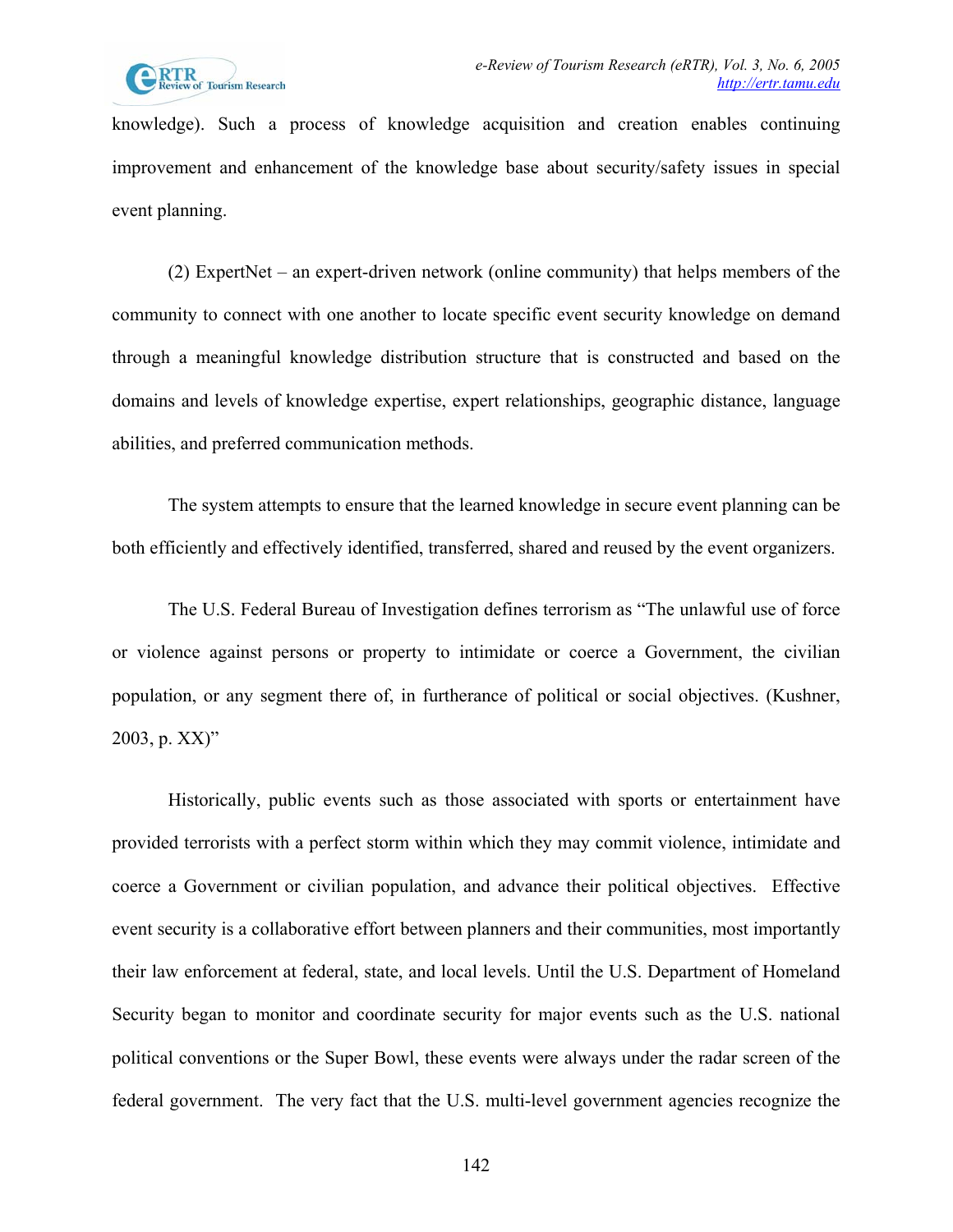

knowledge). Such a process of knowledge acquisition and creation enables continuing improvement and enhancement of the knowledge base about security/safety issues in special event planning.

(2) ExpertNet – an expert-driven network (online community) that helps members of the community to connect with one another to locate specific event security knowledge on demand through a meaningful knowledge distribution structure that is constructed and based on the domains and levels of knowledge expertise, expert relationships, geographic distance, language abilities, and preferred communication methods.

The system attempts to ensure that the learned knowledge in secure event planning can be both efficiently and effectively identified, transferred, shared and reused by the event organizers.

The U.S. Federal Bureau of Investigation defines terrorism as "The unlawful use of force or violence against persons or property to intimidate or coerce a Government, the civilian population, or any segment there of, in furtherance of political or social objectives. (Kushner, 2003, p. XX)"

Historically, public events such as those associated with sports or entertainment have provided terrorists with a perfect storm within which they may commit violence, intimidate and coerce a Government or civilian population, and advance their political objectives. Effective event security is a collaborative effort between planners and their communities, most importantly their law enforcement at federal, state, and local levels. Until the U.S. Department of Homeland Security began to monitor and coordinate security for major events such as the U.S. national political conventions or the Super Bowl, these events were always under the radar screen of the federal government. The very fact that the U.S. multi-level government agencies recognize the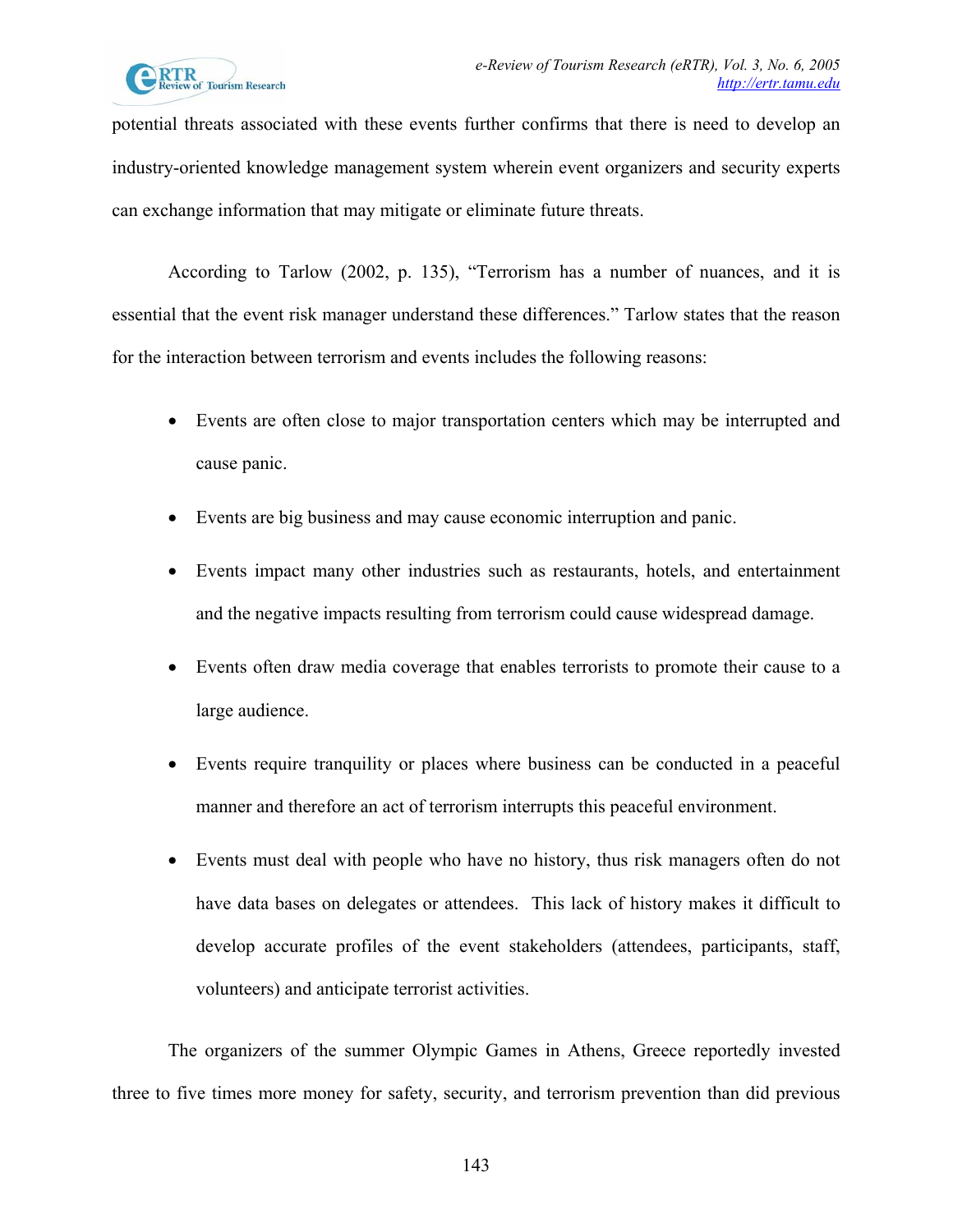

potential threats associated with these events further confirms that there is need to develop an industry-oriented knowledge management system wherein event organizers and security experts can exchange information that may mitigate or eliminate future threats.

According to Tarlow (2002, p. 135), "Terrorism has a number of nuances, and it is essential that the event risk manager understand these differences." Tarlow states that the reason for the interaction between terrorism and events includes the following reasons:

- Events are often close to major transportation centers which may be interrupted and cause panic.
- Events are big business and may cause economic interruption and panic.
- Events impact many other industries such as restaurants, hotels, and entertainment and the negative impacts resulting from terrorism could cause widespread damage.
- Events often draw media coverage that enables terrorists to promote their cause to a large audience.
- Events require tranquility or places where business can be conducted in a peaceful manner and therefore an act of terrorism interrupts this peaceful environment.
- Events must deal with people who have no history, thus risk managers often do not have data bases on delegates or attendees. This lack of history makes it difficult to develop accurate profiles of the event stakeholders (attendees, participants, staff, volunteers) and anticipate terrorist activities.

The organizers of the summer Olympic Games in Athens, Greece reportedly invested three to five times more money for safety, security, and terrorism prevention than did previous